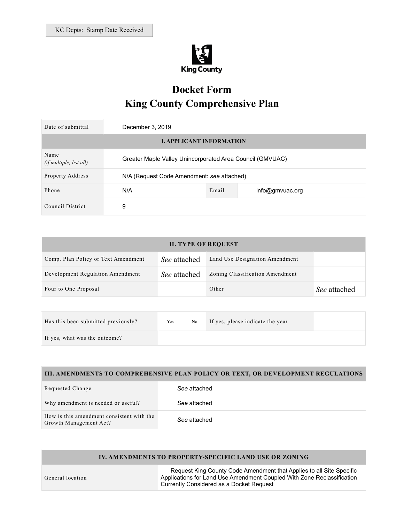

# **Docket Form King County Comprehensive Plan**

| Date of submittal               | December 3, 2019                                          |       |                 |
|---------------------------------|-----------------------------------------------------------|-------|-----------------|
| <b>L APPLICANT INFORMATION</b>  |                                                           |       |                 |
| Name<br>(if multiple, list all) | Greater Maple Valley Unincorporated Area Council (GMVUAC) |       |                 |
| Property Address                | N/A (Request Code Amendment: see attached)                |       |                 |
| Phone                           | N/A                                                       | Email | info@gmvuac.org |
| Council District                | 9                                                         |       |                 |

| <b>II. TYPE OF REQUEST</b>          |                     |                                 |              |  |
|-------------------------------------|---------------------|---------------------------------|--------------|--|
| Comp. Plan Policy or Text Amendment | See attached        | Land Use Designation Amendment  |              |  |
| Development Regulation Amendment    | <i>See</i> attached | Zoning Classification Amendment |              |  |
| Four to One Proposal                |                     | Other                           | See attached |  |

| Has this been submitted previously? | Yes | No | If yes, please indicate the year |  |
|-------------------------------------|-----|----|----------------------------------|--|
| If yes, what was the outcome?       |     |    |                                  |  |

## **III. AMENDMENTS TO COMPREHENSIVE PLAN POLICY OR TEXT, OR DEVELOPMENT REGULATIONS**

| Requested Change                                                    | See attached |
|---------------------------------------------------------------------|--------------|
| Why amendment is needed or useful?                                  | See attached |
| How is this amendment consistent with the<br>Growth Management Act? | See attached |

## **IV. AMENDMENTS TO PROPERTY-SPECIFIC LAND USE OR ZONING**

General location

 Request King County Code Amendment that Applies to all Site Specific Applications for Land Use Amendment Coupled With Zone Reclassification Currently Considered as a Docket Request